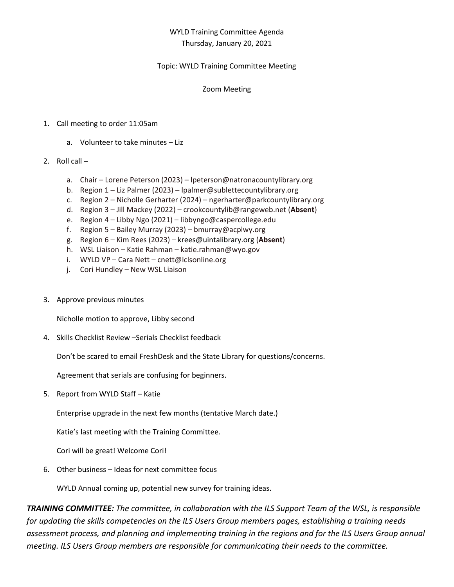# WYLD Training Committee Agenda Thursday, January 20, 2021

## Topic: WYLD Training Committee Meeting

### Zoom Meeting

## 1. Call meeting to order 11:05am

a. Volunteer to take minutes – Liz

## 2. Roll call –

- a. Chair Lorene Peterson (2023) lpeterson@natronacountylibrary.org
- b. Region 1 Liz Palmer (2023) lpalmer@sublettecountylibrary.org
- c. Region 2 Nicholle Gerharter (2024) ngerharter@parkcountylibrary.org
- d. Region 3 Jill Mackey (2022) crookcountylib@rangeweb.net (**Absent**)
- e. Region 4 Libby Ngo (2021) libbyngo@caspercollege.edu
- f. Region 5 Bailey Murray (2023) bmurray@acplwy.org
- g. Region 6 Kim Rees (2023) krees@uintalibrary.org (**Absent**)
- h. WSL Liaison Katie Rahman katie.rahman@wyo.gov
- i. WYLD VP Cara Nett cnett@lclsonline.org
- j. Cori Hundley New WSL Liaison
- 3. Approve previous minutes

Nicholle motion to approve, Libby second

4. Skills Checklist Review –Serials Checklist feedback

Don't be scared to email FreshDesk and the State Library for questions/concerns.

Agreement that serials are confusing for beginners.

5. Report from WYLD Staff – Katie

Enterprise upgrade in the next few months (tentative March date.)

Katie's last meeting with the Training Committee.

Cori will be great! Welcome Cori!

6. Other business – Ideas for next committee focus

WYLD Annual coming up, potential new survey for training ideas.

*TRAINING COMMITTEE: The committee, in collaboration with the ILS Support Team of the WSL, is responsible for updating the skills competencies on the ILS Users Group members pages, establishing a training needs assessment process, and planning and implementing training in the regions and for the ILS Users Group annual meeting. ILS Users Group members are responsible for communicating their needs to the committee.*